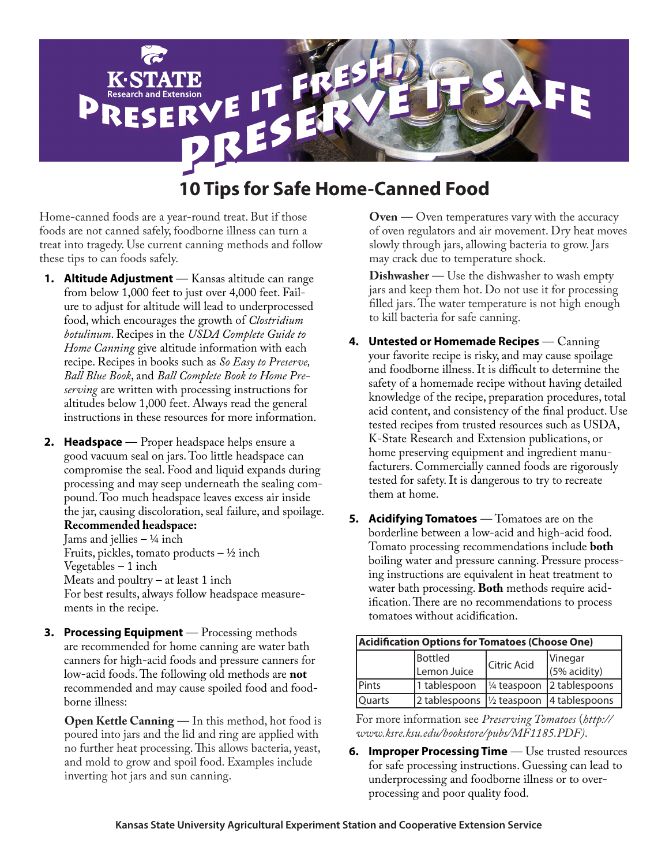

# **10 Tips for Safe Home-Canned Food**

Home-canned foods are a year-round treat. But if those foods are not canned safely, foodborne illness can turn a treat into tragedy. Use current canning methods and follow these tips to can foods safely.

- **1. Altitude Adjustment** Kansas altitude can range from below 1,000 feet to just over 4,000 feet. Failure to adjust for altitude will lead to underprocessed food, which encourages the growth of *Clostridium botulinum*. Recipes in the *USDA Complete Guide to Home Canning* give altitude information with each recipe. Recipes in books such as *So Easy to Preserve, Ball Blue Book*, and *Ball Complete Book to Home Preserving* are written with processing instructions for altitudes below 1,000 feet. Always read the general instructions in these resources for more information.
- **2. Headspace** Proper headspace helps ensure a good vacuum seal on jars. Too little headspace can compromise the seal. Food and liquid expands during processing and may seep underneath the sealing compound. Too much headspace leaves excess air inside the jar, causing discoloration, seal failure, and spoilage. **Recommended headspace:**

Jams and jellies  $-$  ¼ inch Fruits, pickles, tomato products  $-$  ½ inch Vegetables – 1 inch Meats and poultry  $-$  at least 1 inch For best results, always follow headspace measurements in the recipe.

**3. Processing Equipment** — Processing methods are recommended for home canning are water bath canners for high-acid foods and pressure canners for low-acid foods. The following old methods are **not** recommended and may cause spoiled food and foodborne illness:

**Open Kettle Canning** — In this method, hot food is poured into jars and the lid and ring are applied with no further heat processing. This allows bacteria, yeast, and mold to grow and spoil food. Examples include inverting hot jars and sun canning.

**Oven** — Oven temperatures vary with the accuracy of oven regulators and air movement. Dry heat moves slowly through jars, allowing bacteria to grow. Jars may crack due to temperature shock.

**Dishwasher** — Use the dishwasher to wash empty jars and keep them hot. Do not use it for processing filled jars. The water temperature is not high enough to kill bacteria for safe canning.

- **4. Untested or Homemade Recipes** Canning your favorite recipe is risky, and may cause spoilage and foodborne illness. It is difficult to determine the safety of a homemade recipe without having detailed knowledge of the recipe, preparation procedures, total acid content, and consistency of the final product. Use tested recipes from trusted resources such as USDA, K-State Research and Extension publications, or home preserving equipment and ingredient manufacturers. Commercially canned foods are rigorously tested for safety. It is dangerous to try to recreate them at home.
- **5. Acidifying Tomatoes** Tomatoes are on the borderline between a low-acid and high-acid food. Tomato processing recommendations include **both** boiling water and pressure canning. Pressure processing instructions are equivalent in heat treatment to water bath processing. **Both** methods require acidification. There are no recommendations to process tomatoes without acidification.

| Acidification Options for Tomatoes (Choose One) |                                                                            |                    |                            |
|-------------------------------------------------|----------------------------------------------------------------------------|--------------------|----------------------------|
|                                                 | <b>Bottled</b>                                                             | <b>Citric Acid</b> | Vinegar                    |
|                                                 | Lemon Juice                                                                |                    | (5% acidity)               |
| Pints                                           | 1 tablespoon                                                               |                    | 1/4 teaspoon 2 tablespoons |
| <b>Quarts</b>                                   | $\frac{1}{2}$ tablespoons $\frac{1}{2}$ teaspoon $\frac{1}{4}$ tablespoons |                    |                            |

For more information see *Preserving Tomatoes* (*[http://](http://www.ksre.ksu.edu/bookstore/pubs/MF1185.PDF) [www.ksre.ksu.edu/bookstore/pubs/MF1185.PDF\)](http://www.ksre.ksu.edu/bookstore/pubs/MF1185.PDF)*.

**6. Improper Processing Time** — Use trusted resources for safe processing instructions. Guessing can lead to underprocessing and foodborne illness or to overprocessing and poor quality food.